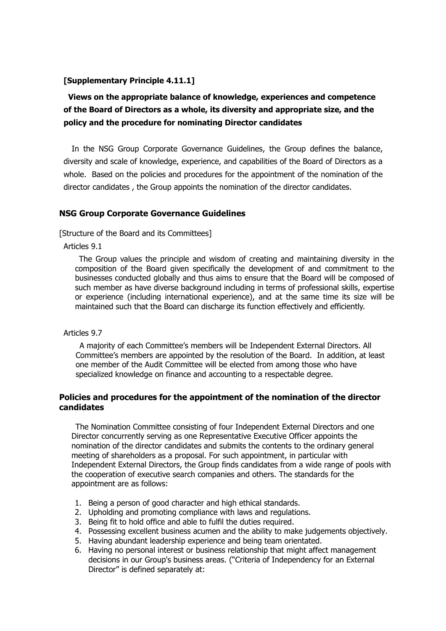## **[Supplementary Principle 4.11.1]**

# **Views on the appropriate balance of knowledge, experiences and competence of the Board of Directors as a whole, its diversity and appropriate size, and the policy and the procedure for nominating Director candidates**

In the NSG Group Corporate Governance Guidelines, the Group defines the balance, diversity and scale of knowledge, experience, and capabilities of the Board of Directors as a whole. Based on the policies and procedures for the appointment of the nomination of the director candidates , the Group appoints the nomination of the director candidates.

### **NSG Group Corporate Governance Guidelines**

[Structure of the Board and its Committees]

Articles 9.1

The Group values the principle and wisdom of creating and maintaining diversity in the composition of the Board given specifically the development of and commitment to the businesses conducted globally and thus aims to ensure that the Board will be composed of such member as have diverse background including in terms of professional skills, expertise or experience (including international experience), and at the same time its size will be maintained such that the Board can discharge its function effectively and efficiently.

#### Articles 9.7

A majority of each Committee's members will be Independent External Directors. All Committee's members are appointed by the resolution of the Board. In addition, at least one member of the Audit Committee will be elected from among those who have specialized knowledge on finance and accounting to a respectable degree.

### **Policies and procedures for the appointment of the nomination of the director candidates**

The Nomination Committee consisting of four Independent External Directors and one Director concurrently serving as one Representative Executive Officer appoints the nomination of the director candidates and submits the contents to the ordinary general meeting of shareholders as a proposal. For such appointment, in particular with Independent External Directors, the Group finds candidates from a wide range of pools with the cooperation of executive search companies and others. The standards for the appointment are as follows:

- 1. Being a person of good character and high ethical standards.
- 2. Upholding and promoting compliance with laws and regulations.
- 3. Being fit to hold office and able to fulfil the duties required.
- 4. Possessing excellent business acumen and the ability to make judgements objectively.
- 5. Having abundant leadership experience and being team orientated.
- 6. Having no personal interest or business relationship that might affect management decisions in our Group's business areas. ("Criteria of Independency for an External Director" is defined separately at: